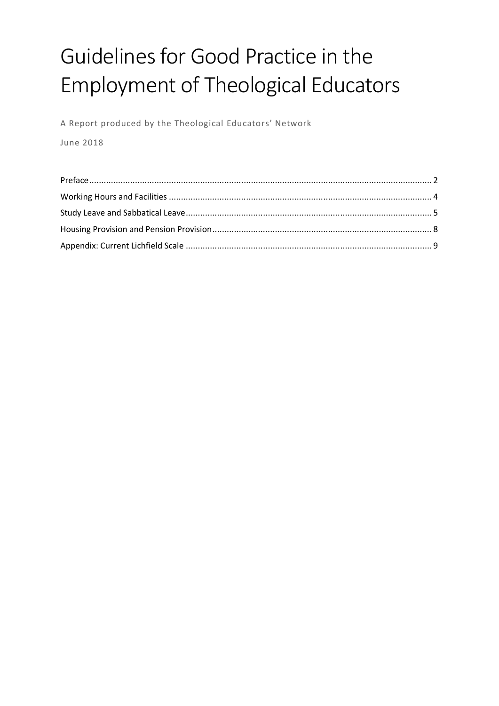# Guidelines for Good Practice in the Employment of Theological Educators

A Report produced by the Theological Educators' Network

June 2018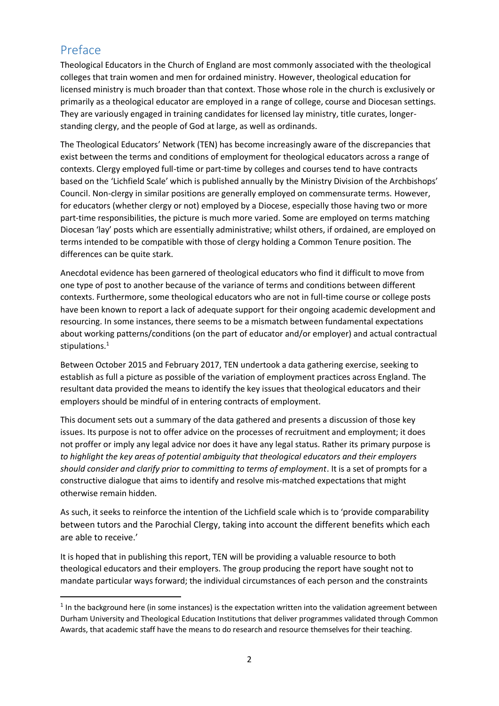# Preface

**.** 

Theological Educators in the Church of England are most commonly associated with the theological colleges that train women and men for ordained ministry. However, theological education for licensed ministry is much broader than that context. Those whose role in the church is exclusively or primarily as a theological educator are employed in a range of college, course and Diocesan settings. They are variously engaged in training candidates for licensed lay ministry, title curates, longerstanding clergy, and the people of God at large, as well as ordinands.

The Theological Educators' Network (TEN) has become increasingly aware of the discrepancies that exist between the terms and conditions of employment for theological educators across a range of contexts. Clergy employed full-time or part-time by colleges and courses tend to have contracts based on the 'Lichfield Scale' which is published annually by the Ministry Division of the Archbishops' Council. Non-clergy in similar positions are generally employed on commensurate terms. However, for educators (whether clergy or not) employed by a Diocese, especially those having two or more part-time responsibilities, the picture is much more varied. Some are employed on terms matching Diocesan 'lay' posts which are essentially administrative; whilst others, if ordained, are employed on terms intended to be compatible with those of clergy holding a Common Tenure position. The differences can be quite stark.

Anecdotal evidence has been garnered of theological educators who find it difficult to move from one type of post to another because of the variance of terms and conditions between different contexts. Furthermore, some theological educators who are not in full-time course or college posts have been known to report a lack of adequate support for their ongoing academic development and resourcing. In some instances, there seems to be a mismatch between fundamental expectations about working patterns/conditions (on the part of educator and/or employer) and actual contractual stipulations.<sup>1</sup>

Between October 2015 and February 2017, TEN undertook a data gathering exercise, seeking to establish as full a picture as possible of the variation of employment practices across England. The resultant data provided the means to identify the key issues that theological educators and their employers should be mindful of in entering contracts of employment.

This document sets out a summary of the data gathered and presents a discussion of those key issues. Its purpose is not to offer advice on the processes of recruitment and employment; it does not proffer or imply any legal advice nor does it have any legal status. Rather its primary purpose is *to highlight the key areas of potential ambiguity that theological educators and their employers should consider and clarify prior to committing to terms of employment*. It is a set of prompts for a constructive dialogue that aims to identify and resolve mis-matched expectations that might otherwise remain hidden.

As such, it seeks to reinforce the intention of the Lichfield scale which is to 'provide comparability between tutors and the Parochial Clergy, taking into account the different benefits which each are able to receive.'

It is hoped that in publishing this report, TEN will be providing a valuable resource to both theological educators and their employers. The group producing the report have sought not to mandate particular ways forward; the individual circumstances of each person and the constraints

 $<sup>1</sup>$  In the background here (in some instances) is the expectation written into the validation agreement between</sup> Durham University and Theological Education Institutions that deliver programmes validated through Common Awards, that academic staff have the means to do research and resource themselves for their teaching.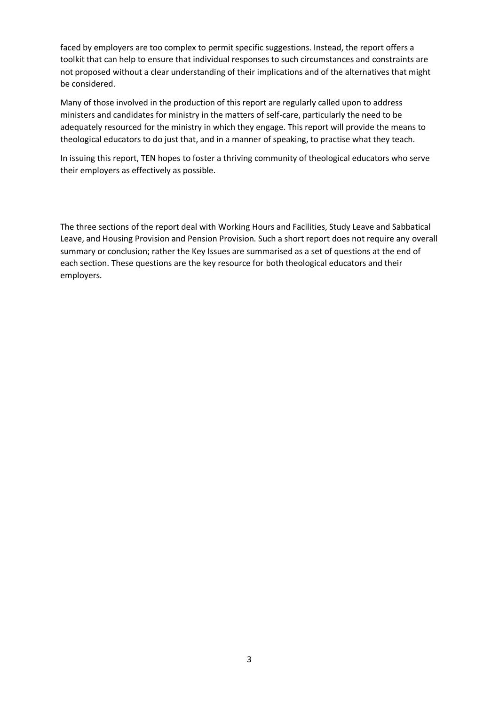faced by employers are too complex to permit specific suggestions. Instead, the report offers a toolkit that can help to ensure that individual responses to such circumstances and constraints are not proposed without a clear understanding of their implications and of the alternatives that might be considered.

Many of those involved in the production of this report are regularly called upon to address ministers and candidates for ministry in the matters of self-care, particularly the need to be adequately resourced for the ministry in which they engage. This report will provide the means to theological educators to do just that, and in a manner of speaking, to practise what they teach.

In issuing this report, TEN hopes to foster a thriving community of theological educators who serve their employers as effectively as possible.

The three sections of the report deal with Working Hours and Facilities, Study Leave and Sabbatical Leave, and Housing Provision and Pension Provision. Such a short report does not require any overall summary or conclusion; rather the Key Issues are summarised as a set of questions at the end of each section. These questions are the key resource for both theological educators and their employers.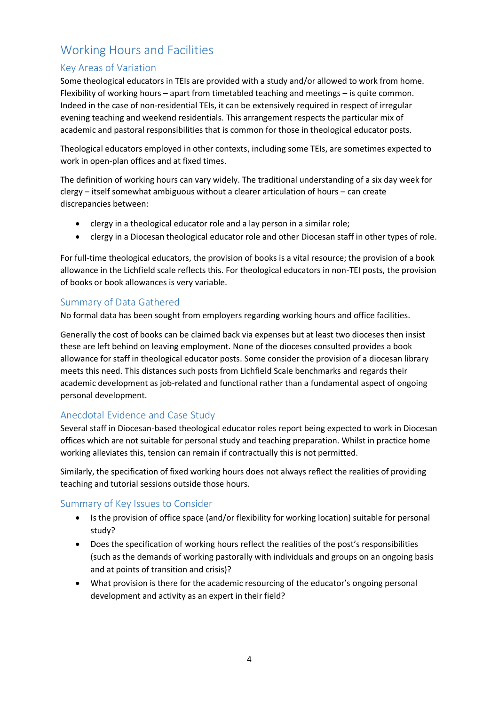# Working Hours and Facilities

## Key Areas of Variation

Some theological educators in TEIs are provided with a study and/or allowed to work from home. Flexibility of working hours – apart from timetabled teaching and meetings – is quite common. Indeed in the case of non-residential TEIs, it can be extensively required in respect of irregular evening teaching and weekend residentials. This arrangement respects the particular mix of academic and pastoral responsibilities that is common for those in theological educator posts.

Theological educators employed in other contexts, including some TEIs, are sometimes expected to work in open-plan offices and at fixed times.

The definition of working hours can vary widely. The traditional understanding of a six day week for clergy – itself somewhat ambiguous without a clearer articulation of hours – can create discrepancies between:

- clergy in a theological educator role and a lay person in a similar role;
- clergy in a Diocesan theological educator role and other Diocesan staff in other types of role.

For full-time theological educators, the provision of books is a vital resource; the provision of a book allowance in the Lichfield scale reflects this. For theological educators in non-TEI posts, the provision of books or book allowances is very variable.

#### Summary of Data Gathered

No formal data has been sought from employers regarding working hours and office facilities.

Generally the cost of books can be claimed back via expenses but at least two dioceses then insist these are left behind on leaving employment. None of the dioceses consulted provides a book allowance for staff in theological educator posts. Some consider the provision of a diocesan library meets this need. This distances such posts from Lichfield Scale benchmarks and regards their academic development as job-related and functional rather than a fundamental aspect of ongoing personal development.

## Anecdotal Evidence and Case Study

Several staff in Diocesan-based theological educator roles report being expected to work in Diocesan offices which are not suitable for personal study and teaching preparation. Whilst in practice home working alleviates this, tension can remain if contractually this is not permitted.

Similarly, the specification of fixed working hours does not always reflect the realities of providing teaching and tutorial sessions outside those hours.

#### Summary of Key Issues to Consider

- Is the provision of office space (and/or flexibility for working location) suitable for personal study?
- Does the specification of working hours reflect the realities of the post's responsibilities (such as the demands of working pastorally with individuals and groups on an ongoing basis and at points of transition and crisis)?
- What provision is there for the academic resourcing of the educator's ongoing personal development and activity as an expert in their field?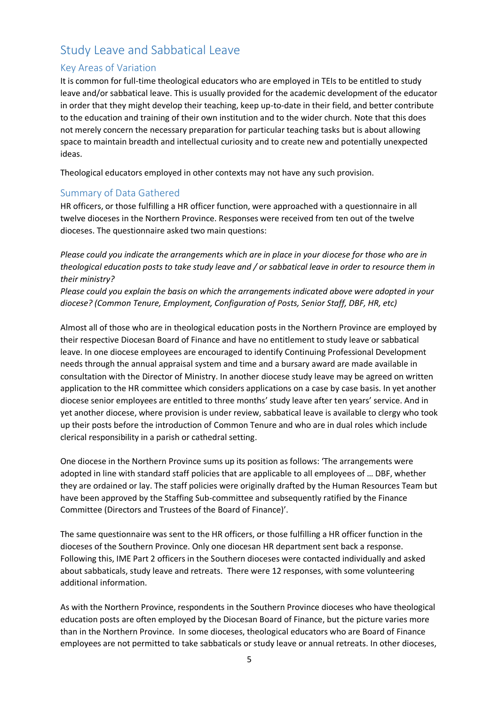# Study Leave and Sabbatical Leave

## Key Areas of Variation

It is common for full-time theological educators who are employed in TEIs to be entitled to study leave and/or sabbatical leave. This is usually provided for the academic development of the educator in order that they might develop their teaching, keep up-to-date in their field, and better contribute to the education and training of their own institution and to the wider church. Note that this does not merely concern the necessary preparation for particular teaching tasks but is about allowing space to maintain breadth and intellectual curiosity and to create new and potentially unexpected ideas.

Theological educators employed in other contexts may not have any such provision.

## Summary of Data Gathered

HR officers, or those fulfilling a HR officer function, were approached with a questionnaire in all twelve dioceses in the Northern Province. Responses were received from ten out of the twelve dioceses. The questionnaire asked two main questions:

*Please could you indicate the arrangements which are in place in your diocese for those who are in theological education posts to take study leave and / or sabbatical leave in order to resource them in their ministry?*

*Please could you explain the basis on which the arrangements indicated above were adopted in your diocese? (Common Tenure, Employment, Configuration of Posts, Senior Staff, DBF, HR, etc)* 

Almost all of those who are in theological education posts in the Northern Province are employed by their respective Diocesan Board of Finance and have no entitlement to study leave or sabbatical leave. In one diocese employees are encouraged to identify Continuing Professional Development needs through the annual appraisal system and time and a bursary award are made available in consultation with the Director of Ministry. In another diocese study leave may be agreed on written application to the HR committee which considers applications on a case by case basis. In yet another diocese senior employees are entitled to three months' study leave after ten years' service. And in yet another diocese, where provision is under review, sabbatical leave is available to clergy who took up their posts before the introduction of Common Tenure and who are in dual roles which include clerical responsibility in a parish or cathedral setting.

One diocese in the Northern Province sums up its position as follows: 'The arrangements were adopted in line with standard staff policies that are applicable to all employees of … DBF, whether they are ordained or lay. The staff policies were originally drafted by the Human Resources Team but have been approved by the Staffing Sub-committee and subsequently ratified by the Finance Committee (Directors and Trustees of the Board of Finance)'.

The same questionnaire was sent to the HR officers, or those fulfilling a HR officer function in the dioceses of the Southern Province. Only one diocesan HR department sent back a response. Following this, IME Part 2 officers in the Southern dioceses were contacted individually and asked about sabbaticals, study leave and retreats. There were 12 responses, with some volunteering additional information.

As with the Northern Province, respondents in the Southern Province dioceses who have theological education posts are often employed by the Diocesan Board of Finance, but the picture varies more than in the Northern Province. In some dioceses, theological educators who are Board of Finance employees are not permitted to take sabbaticals or study leave or annual retreats. In other dioceses,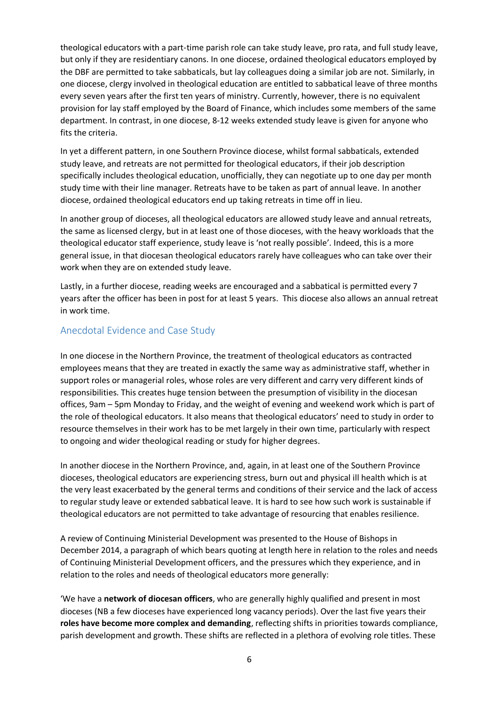theological educators with a part-time parish role can take study leave, pro rata, and full study leave, but only if they are residentiary canons. In one diocese, ordained theological educators employed by the DBF are permitted to take sabbaticals, but lay colleagues doing a similar job are not. Similarly, in one diocese, clergy involved in theological education are entitled to sabbatical leave of three months every seven years after the first ten years of ministry. Currently, however, there is no equivalent provision for lay staff employed by the Board of Finance, which includes some members of the same department. In contrast, in one diocese, 8-12 weeks extended study leave is given for anyone who fits the criteria.

In yet a different pattern, in one Southern Province diocese, whilst formal sabbaticals, extended study leave, and retreats are not permitted for theological educators, if their job description specifically includes theological education, unofficially, they can negotiate up to one day per month study time with their line manager. Retreats have to be taken as part of annual leave. In another diocese, ordained theological educators end up taking retreats in time off in lieu.

In another group of dioceses, all theological educators are allowed study leave and annual retreats, the same as licensed clergy, but in at least one of those dioceses, with the heavy workloads that the theological educator staff experience, study leave is 'not really possible'. Indeed, this is a more general issue, in that diocesan theological educators rarely have colleagues who can take over their work when they are on extended study leave.

Lastly, in a further diocese, reading weeks are encouraged and a sabbatical is permitted every 7 years after the officer has been in post for at least 5 years. This diocese also allows an annual retreat in work time.

#### Anecdotal Evidence and Case Study

In one diocese in the Northern Province, the treatment of theological educators as contracted employees means that they are treated in exactly the same way as administrative staff, whether in support roles or managerial roles, whose roles are very different and carry very different kinds of responsibilities. This creates huge tension between the presumption of visibility in the diocesan offices, 9am – 5pm Monday to Friday, and the weight of evening and weekend work which is part of the role of theological educators. It also means that theological educators' need to study in order to resource themselves in their work has to be met largely in their own time, particularly with respect to ongoing and wider theological reading or study for higher degrees.

In another diocese in the Northern Province, and, again, in at least one of the Southern Province dioceses, theological educators are experiencing stress, burn out and physical ill health which is at the very least exacerbated by the general terms and conditions of their service and the lack of access to regular study leave or extended sabbatical leave. It is hard to see how such work is sustainable if theological educators are not permitted to take advantage of resourcing that enables resilience.

A review of Continuing Ministerial Development was presented to the House of Bishops in December 2014, a paragraph of which bears quoting at length here in relation to the roles and needs of Continuing Ministerial Development officers, and the pressures which they experience, and in relation to the roles and needs of theological educators more generally:

'We have a **network of diocesan officers**, who are generally highly qualified and present in most dioceses (NB a few dioceses have experienced long vacancy periods). Over the last five years their **roles have become more complex and demanding**, reflecting shifts in priorities towards compliance, parish development and growth. These shifts are reflected in a plethora of evolving role titles. These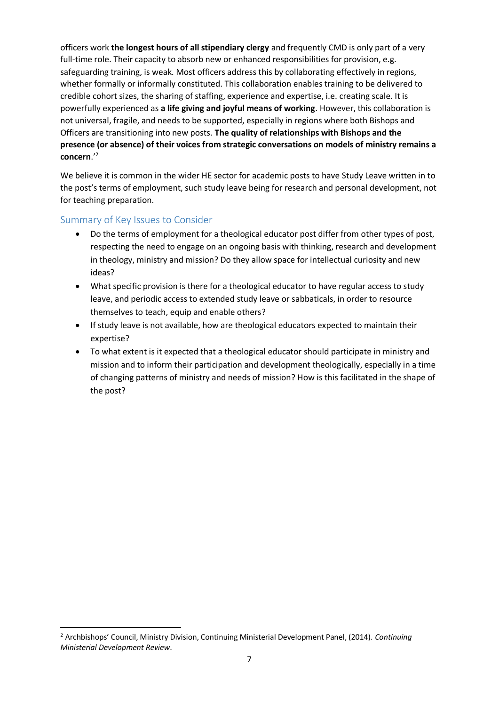officers work **the longest hours of all stipendiary clergy** and frequently CMD is only part of a very full-time role. Their capacity to absorb new or enhanced responsibilities for provision, e.g. safeguarding training, is weak. Most officers address this by collaborating effectively in regions, whether formally or informally constituted. This collaboration enables training to be delivered to credible cohort sizes, the sharing of staffing, experience and expertise, i.e. creating scale. It is powerfully experienced as **a life giving and joyful means of working**. However, this collaboration is not universal, fragile, and needs to be supported, especially in regions where both Bishops and Officers are transitioning into new posts. **The quality of relationships with Bishops and the presence (or absence) of their voices from strategic conversations on models of ministry remains a concern**.' 2

We believe it is common in the wider HE sector for academic posts to have Study Leave written in to the post's terms of employment, such study leave being for research and personal development, not for teaching preparation.

#### Summary of Key Issues to Consider

1

- Do the terms of employment for a theological educator post differ from other types of post, respecting the need to engage on an ongoing basis with thinking, research and development in theology, ministry and mission? Do they allow space for intellectual curiosity and new ideas?
- What specific provision is there for a theological educator to have regular access to study leave, and periodic access to extended study leave or sabbaticals, in order to resource themselves to teach, equip and enable others?
- If study leave is not available, how are theological educators expected to maintain their expertise?
- To what extent is it expected that a theological educator should participate in ministry and mission and to inform their participation and development theologically, especially in a time of changing patterns of ministry and needs of mission? How is this facilitated in the shape of the post?

<sup>2</sup> Archbishops' Council, Ministry Division, Continuing Ministerial Development Panel, (2014). *Continuing Ministerial Development Review*.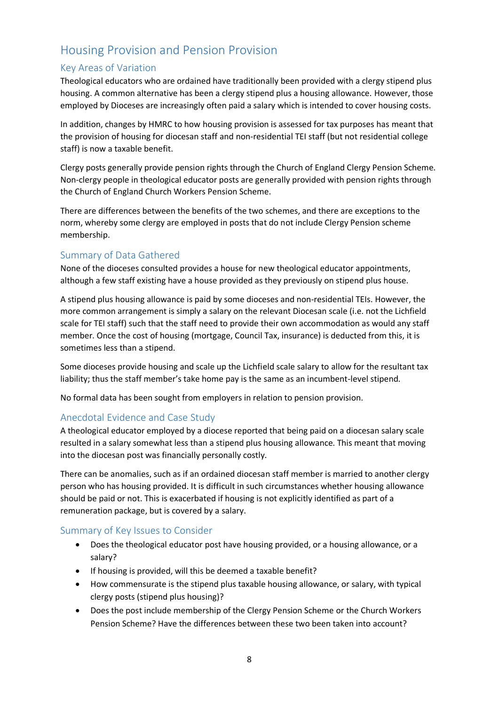# Housing Provision and Pension Provision

# Key Areas of Variation

Theological educators who are ordained have traditionally been provided with a clergy stipend plus housing. A common alternative has been a clergy stipend plus a housing allowance. However, those employed by Dioceses are increasingly often paid a salary which is intended to cover housing costs.

In addition, changes by HMRC to how housing provision is assessed for tax purposes has meant that the provision of housing for diocesan staff and non-residential TEI staff (but not residential college staff) is now a taxable benefit.

Clergy posts generally provide pension rights through the Church of England Clergy Pension Scheme. Non-clergy people in theological educator posts are generally provided with pension rights through the Church of England Church Workers Pension Scheme.

There are differences between the benefits of the two schemes, and there are exceptions to the norm, whereby some clergy are employed in posts that do not include Clergy Pension scheme membership.

#### Summary of Data Gathered

None of the dioceses consulted provides a house for new theological educator appointments, although a few staff existing have a house provided as they previously on stipend plus house.

A stipend plus housing allowance is paid by some dioceses and non-residential TEIs. However, the more common arrangement is simply a salary on the relevant Diocesan scale (i.e. not the Lichfield scale for TEI staff) such that the staff need to provide their own accommodation as would any staff member. Once the cost of housing (mortgage, Council Tax, insurance) is deducted from this, it is sometimes less than a stipend.

Some dioceses provide housing and scale up the Lichfield scale salary to allow for the resultant tax liability; thus the staff member's take home pay is the same as an incumbent-level stipend.

No formal data has been sought from employers in relation to pension provision.

#### Anecdotal Evidence and Case Study

A theological educator employed by a diocese reported that being paid on a diocesan salary scale resulted in a salary somewhat less than a stipend plus housing allowance. This meant that moving into the diocesan post was financially personally costly.

There can be anomalies, such as if an ordained diocesan staff member is married to another clergy person who has housing provided. It is difficult in such circumstances whether housing allowance should be paid or not. This is exacerbated if housing is not explicitly identified as part of a remuneration package, but is covered by a salary.

#### Summary of Key Issues to Consider

- Does the theological educator post have housing provided, or a housing allowance, or a salary?
- If housing is provided, will this be deemed a taxable benefit?
- How commensurate is the stipend plus taxable housing allowance, or salary, with typical clergy posts (stipend plus housing)?
- Does the post include membership of the Clergy Pension Scheme or the Church Workers Pension Scheme? Have the differences between these two been taken into account?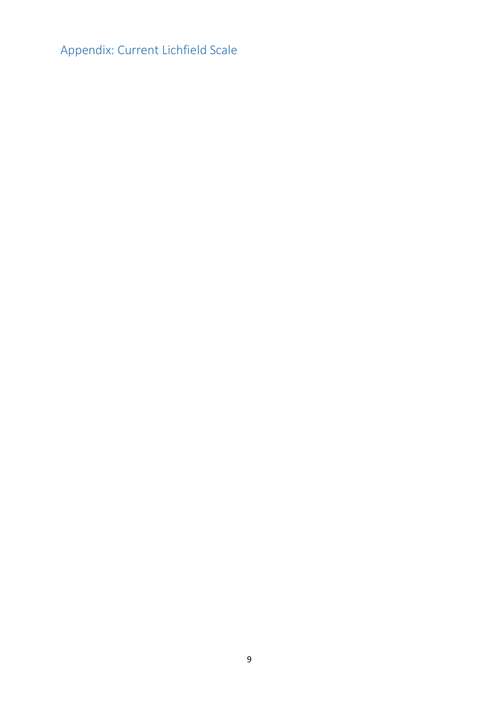Appendix: Current Lichfield Scale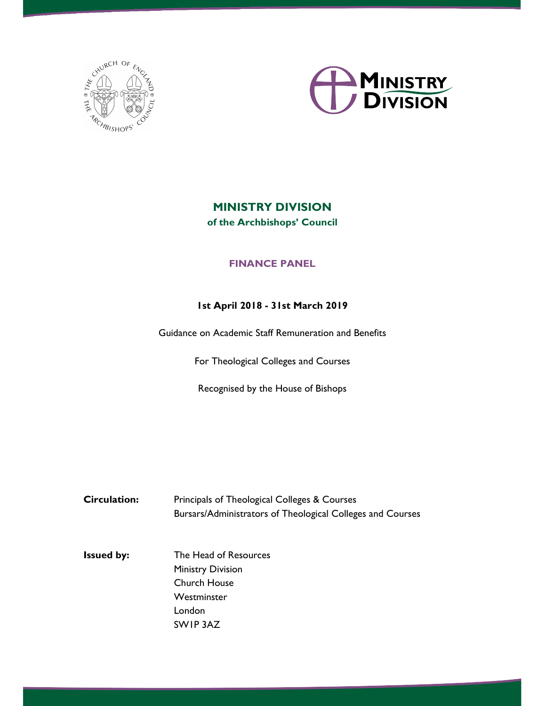



# MINISTRY DIVISION of the Archbishops' Council

### FINANCE PANEL

#### 1st April 2018 - 31st March 2019

Guidance on Academic Staff Remuneration and Benefits

For Theological Colleges and Courses

Recognised by the House of Bishops

Circulation: Principals of Theological Colleges & Courses Bursars/Administrators of Theological Colleges and Courses

Issued by: The Head of Resources Ministry Division Church House Westminster London SW1P 3AZ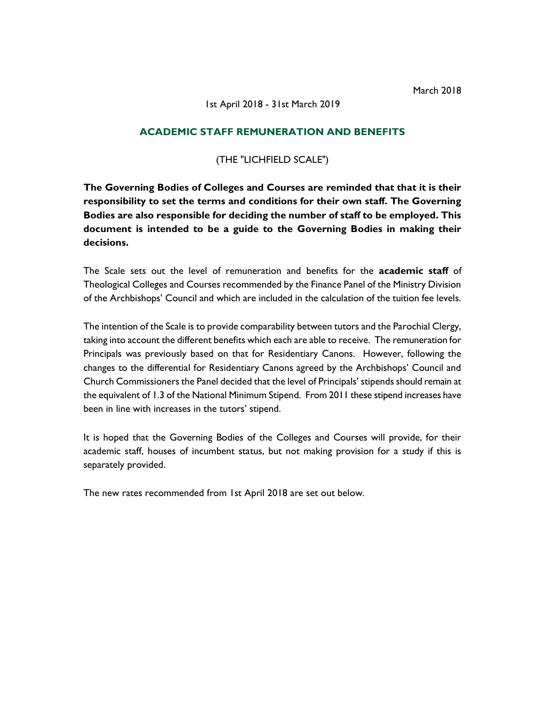#### 1st April 2018 - 31st March 2019

#### ACADEMIC STAFF REMUNERATION AND BENEFITS

#### (THE "LICHFIELD SCALE")

The Governing Bodies of Colleges and Courses are reminded that that it is their responsibility to set the terms and conditions for their own staff. The Governing Bodies are also responsible for deciding the number of staff to be employed. This document is intended to be a guide to the Governing Bodies in making their decisions.

The Scale sets out the level of remuneration and benefits for the **academic staff** of Theological Colleges and Courses recommended by the Finance Panel of the Ministry Division of the Archbishops' Council and which are included in the calculation of the tuition fee levels.

The intention of the Scale is to provide comparability between tutors and the Parochial Clergy, taking into account the different benefits which each are able to receive. The remuneration for Principals was previously based on that for Residentiary Canons. However, following the changes to the differential for Residentiary Canons agreed by the Archbishops' Council and Church Commissioners the Panel decided that the level of Principals' stipends should remain at the equivalent of 1.3 of the National Minimum Stipend. From 2011 these stipend increases have been in line with increases in the tutors' stipend.

It is hoped that the Governing Bodies of the Colleges and Courses will provide, for their academic staff, houses of incumbent status, but not making provision for a study if this is separately provided.

The new rates recommended from 1st April 2018 are set out below.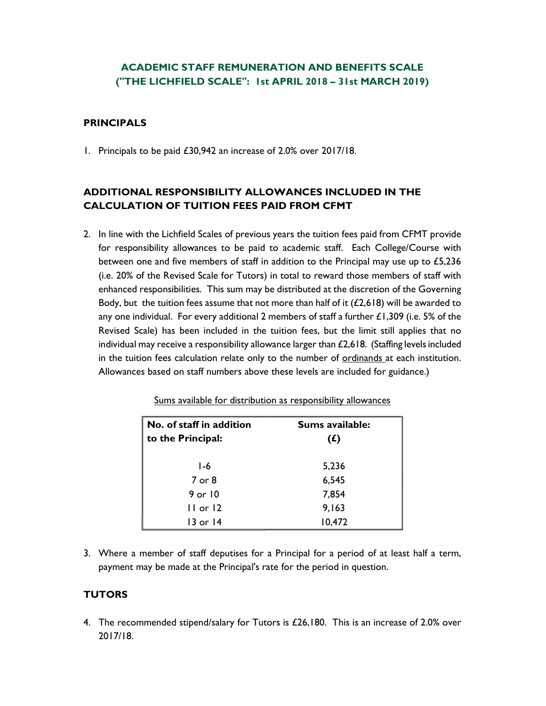## ACADEMIC STAFF REMUNERATION AND BENEFITS SCALE ("THE LICHFIELD SCALE": 1st APRIL 2018 – 31st MARCH 2019)

#### PRINCIPALS

1. Principals to be paid £30,942 an increase of 2.0% over 2017/18.

### ADDITIONAL RESPONSIBILITY ALLOWANCES INCLUDED IN THE CALCULATION OF TUITION FEES PAID FROM CFMT

2. In line with the Lichfield Scales of previous years the tuition fees paid from CFMT provide for responsibility allowances to be paid to academic staff. Each College/Course with between one and five members of staff in addition to the Principal may use up to £5,236 (i.e. 20% of the Revised Scale for Tutors) in total to reward those members of staff with enhanced responsibilities. This sum may be distributed at the discretion of the Governing Body, but the tuition fees assume that not more than half of it  $(E2,618)$  will be awarded to any one individual. For every additional 2 members of staff a further  $\pounds$ 1,309 (i.e. 5% of the Revised Scale) has been included in the tuition fees, but the limit still applies that no individual may receive a responsibility allowance larger than  $£2,618$ . (Staffing levels included in the tuition fees calculation relate only to the number of ordinands at each institution. Allowances based on staff numbers above these levels are included for guidance.)

| No. of staff in addition<br>to the Principal: | Sums available:<br>(f) |
|-----------------------------------------------|------------------------|
| $1-6$                                         | 5,236                  |
| 7 or 8                                        | 6,545                  |
| 9 or 10                                       | 7,854                  |
| $11$ or $12$                                  | 9,163                  |
| 13 or 14                                      | 10,472                 |

Sums available for distribution as responsibility allowances

3. Where a member of staff deputises for a Principal for a period of at least half a term, payment may be made at the Principal's rate for the period in question.

#### **TUTORS**

4. The recommended stipend/salary for Tutors is £26,180. This is an increase of 2.0% over 2017/18.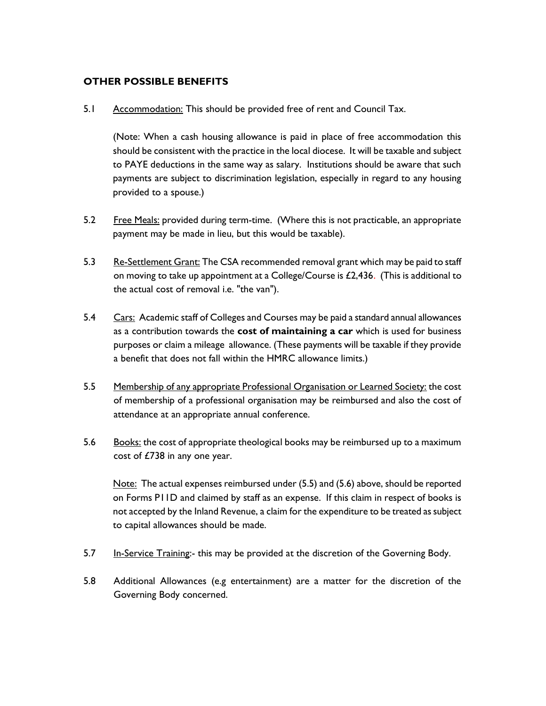#### OTHER POSSIBLE BENEFITS

5.1 Accommodation: This should be provided free of rent and Council Tax.

(Note: When a cash housing allowance is paid in place of free accommodation this should be consistent with the practice in the local diocese. It will be taxable and subject to PAYE deductions in the same way as salary. Institutions should be aware that such payments are subject to discrimination legislation, especially in regard to any housing provided to a spouse.)

- 5.2 Free Meals: provided during term-time. (Where this is not practicable, an appropriate payment may be made in lieu, but this would be taxable).
- 5.3 Re-Settlement Grant: The CSA recommended removal grant which may be paid to staff on moving to take up appointment at a College/Course is £2,436. (This is additional to the actual cost of removal i.e. "the van").
- 5.4 Cars: Academic staff of Colleges and Courses may be paid a standard annual allowances as a contribution towards the **cost of maintaining a car** which is used for business purposes or claim a mileage allowance. (These payments will be taxable if they provide a benefit that does not fall within the HMRC allowance limits.)
- 5.5 Membership of any appropriate Professional Organisation or Learned Society: the cost of membership of a professional organisation may be reimbursed and also the cost of attendance at an appropriate annual conference.
- 5.6 Books: the cost of appropriate theological books may be reimbursed up to a maximum cost of £738 in any one year.

Note: The actual expenses reimbursed under (5.5) and (5.6) above, should be reported on Forms P11D and claimed by staff as an expense. If this claim in respect of books is not accepted by the Inland Revenue, a claim for the expenditure to be treated as subject to capital allowances should be made.

- 5.7 In-Service Training:- this may be provided at the discretion of the Governing Body.
- 5.8 Additional Allowances (e.g entertainment) are a matter for the discretion of the Governing Body concerned.